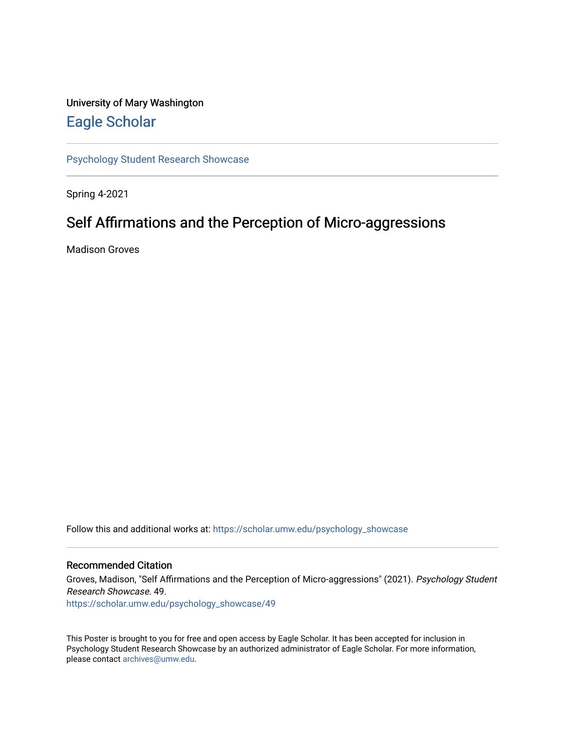#### University of Mary Washington [Eagle Scholar](https://scholar.umw.edu/)

[Psychology Student Research Showcase](https://scholar.umw.edu/psychology_showcase)

Spring 4-2021

#### Self Affirmations and the Perception of Micro-aggressions

Madison Groves

Follow this and additional works at: [https://scholar.umw.edu/psychology\\_showcase](https://scholar.umw.edu/psychology_showcase?utm_source=scholar.umw.edu%2Fpsychology_showcase%2F49&utm_medium=PDF&utm_campaign=PDFCoverPages)

#### Recommended Citation

Groves, Madison, "Self Affirmations and the Perception of Micro-aggressions" (2021). Psychology Student Research Showcase. 49.

[https://scholar.umw.edu/psychology\\_showcase/49](https://scholar.umw.edu/psychology_showcase/49?utm_source=scholar.umw.edu%2Fpsychology_showcase%2F49&utm_medium=PDF&utm_campaign=PDFCoverPages) 

This Poster is brought to you for free and open access by Eagle Scholar. It has been accepted for inclusion in Psychology Student Research Showcase by an authorized administrator of Eagle Scholar. For more information, please contact [archives@umw.edu.](mailto:archives@umw.edu)